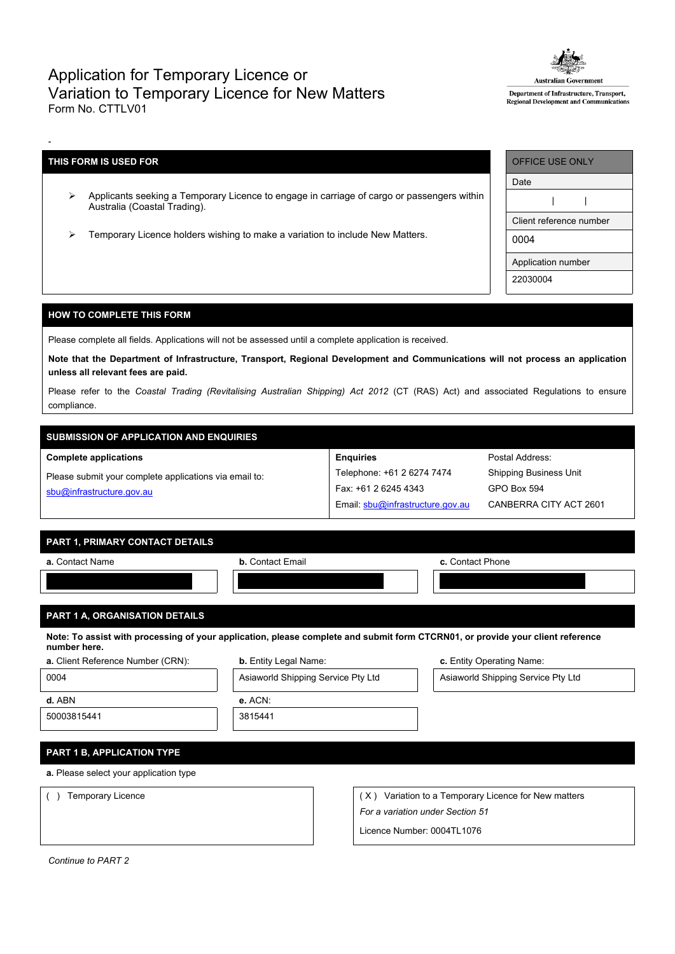# Application for Temporary Licence or Variation to Temporary Licence for New Matters Form No. CTTLV01



Department of Infrastructure, Transport, Regional Development and Communications

# **THIS FORM IS USED FOR**

-

- Applicants seeking a Temporary Licence to engage in carriage of cargo or passengers within Australia (Coastal Trading).
- $\triangleright$  Temporary Licence holders wishing to make a variation to include New Matters.

| OFFICE USE ONLY         |  |  |  |  |
|-------------------------|--|--|--|--|
| Date                    |  |  |  |  |
|                         |  |  |  |  |
| Client reference number |  |  |  |  |
| 0004                    |  |  |  |  |
| Application number      |  |  |  |  |
| 22030004                |  |  |  |  |

## **HOW TO COMPLETE THIS FORM**

Please complete all fields. Applications will not be assessed until a complete application is received.

Note that the Department of Infrastructure, Transport, Regional Development and Communications will not process an application **unless all relevant fees are paid.**

Please refer to the *Coastal Trading (Revitalising Australian Shipping) Act 2012* (CT (RAS) Act) and associated Regulations to ensure compliance.

# **SUBMISSION OF APPLICATION AND ENQUIRIES**

#### **Complete applications**

Please submit your complete applications via email to: [sbu@infrastructure.gov.au](mailto:sbu@infrastructure.gov.au)

| <b>Enquiries</b>                 |
|----------------------------------|
| Telephone: +61 2 6274 7474       |
| Fax: +61 2 6245 4343             |
| Email: sbu@infrastructure.gov.au |

*For a variation under Section 51* Licence Number: 0004TL1076

Postal Address: Shipping Business Unit GPO Box 594 CANBERRA CITY ACT 2601

## **PART 1, PRIMARY CONTACT DETAILS**

| a. Contact Name | <b>b.</b> Contact Email | c. Contact Phone |  |  |  |
|-----------------|-------------------------|------------------|--|--|--|
|                 |                         |                  |  |  |  |
|                 |                         |                  |  |  |  |

# **PART 1 A, ORGANISATION DETAILS**

Note: To assist with processing of your application, please complete and submit form CTCRN01, or provide your client reference **number here.**

| a. Client Reference Number (CRN):      | <b>b.</b> Entity Legal Name:       | c. Entity Operating Name:                        |  |  |  |
|----------------------------------------|------------------------------------|--------------------------------------------------|--|--|--|
| 0004                                   | Asiaworld Shipping Service Pty Ltd | Asiaworld Shipping Service Pty Ltd               |  |  |  |
| d. ABN                                 | e. ACN:                            |                                                  |  |  |  |
| 50003815441                            | 3815441                            |                                                  |  |  |  |
|                                        |                                    |                                                  |  |  |  |
| <b>PART 1 B, APPLICATION TYPE</b>      |                                    |                                                  |  |  |  |
| a. Please select your application type |                                    |                                                  |  |  |  |
| Temporary Licence                      | 'X '                               | Variation to a Temporary Licence for New matters |  |  |  |

*Continue to PART 2*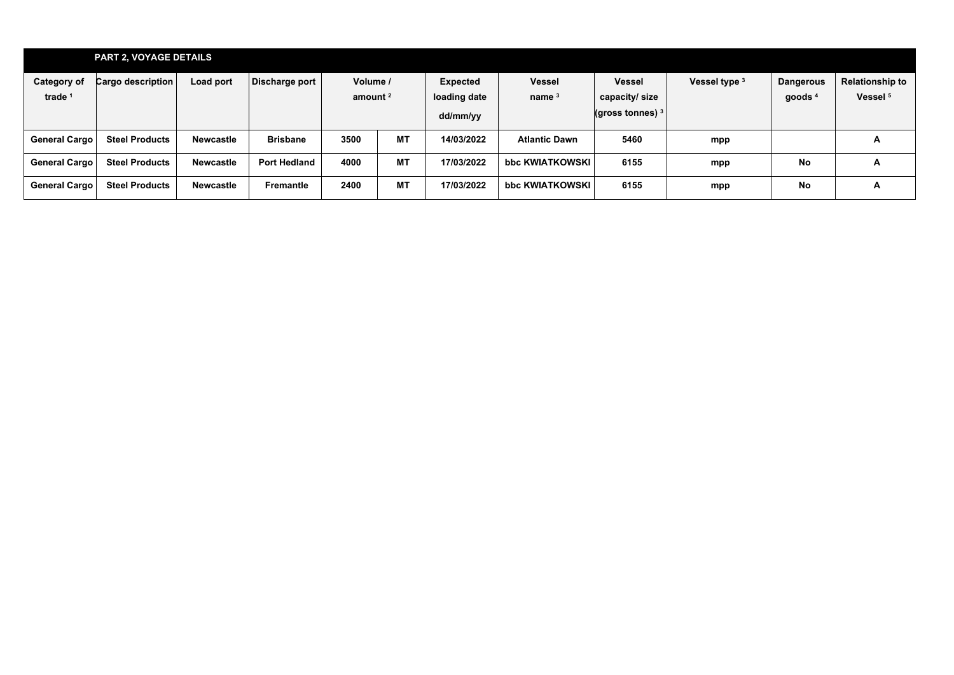|                          | <b>PART 2, VOYAGE DETAILS</b> |           |                     |                        |           |                                             |                           |                                                       |               |                               |                                               |
|--------------------------|-------------------------------|-----------|---------------------|------------------------|-----------|---------------------------------------------|---------------------------|-------------------------------------------------------|---------------|-------------------------------|-----------------------------------------------|
| Category of<br>trade $1$ | Cargo description             | Load port | Discharge port      | Volume /<br>amount $2$ |           | <b>Expected</b><br>loading date<br>dd/mm/yy | <b>Vessel</b><br>name $3$ | <b>Vessel</b><br>capacity/ size<br>(gross tonnes) $3$ | Vessel type 3 | <b>Dangerous</b><br>goods $4$ | <b>Relationship to</b><br>Vessel <sup>5</sup> |
| General Cargo            | <b>Steel Products</b>         | Newcastle | <b>Brisbane</b>     | 3500                   | <b>MT</b> | 14/03/2022                                  | <b>Atlantic Dawn</b>      | 5460                                                  | mpp           |                               | A                                             |
| General Cargo            | <b>Steel Products</b>         | Newcastle | <b>Port Hedland</b> | 4000                   | <b>MT</b> | 17/03/2022                                  | bbc KWIATKOWSKI           | 6155                                                  | mpp           | <b>No</b>                     | Α                                             |
| General Cargo            | <b>Steel Products</b>         | Newcastle | <b>Fremantle</b>    | 2400                   | <b>MT</b> | 17/03/2022                                  | bbc KWIATKOWSKI           | 6155                                                  | mpp           | <b>No</b>                     | A                                             |